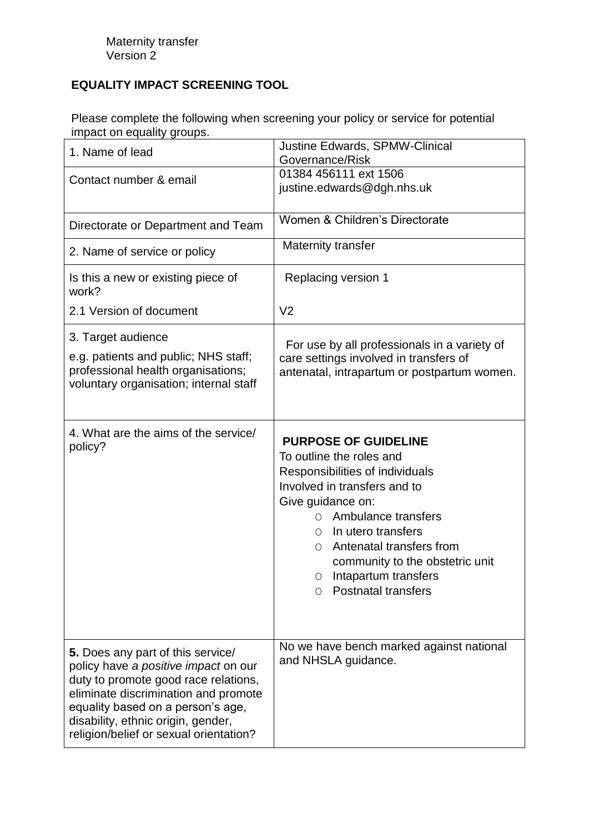## **EQUALITY IMPACT SCREENING TOOL**

Please complete the following when screening your policy or service for potential impact on equality groups.

| 1. Name of lead                                                                                                                                                                                                                                                                | <b>Justine Edwards, SPMW-Clinical</b><br>Governance/Risk                                                                                                                                                                                                                                                                                       |
|--------------------------------------------------------------------------------------------------------------------------------------------------------------------------------------------------------------------------------------------------------------------------------|------------------------------------------------------------------------------------------------------------------------------------------------------------------------------------------------------------------------------------------------------------------------------------------------------------------------------------------------|
| Contact number & email                                                                                                                                                                                                                                                         | 01384 456111 ext 1506<br>justine.edwards@dgh.nhs.uk                                                                                                                                                                                                                                                                                            |
| Directorate or Department and Team                                                                                                                                                                                                                                             | Women & Children's Directorate                                                                                                                                                                                                                                                                                                                 |
| 2. Name of service or policy                                                                                                                                                                                                                                                   | Maternity transfer                                                                                                                                                                                                                                                                                                                             |
| Is this a new or existing piece of<br>work?                                                                                                                                                                                                                                    | Replacing version 1                                                                                                                                                                                                                                                                                                                            |
| 2.1 Version of document                                                                                                                                                                                                                                                        | V <sub>2</sub>                                                                                                                                                                                                                                                                                                                                 |
| 3. Target audience<br>e.g. patients and public; NHS staff;<br>professional health organisations;<br>voluntary organisation; internal staff                                                                                                                                     | For use by all professionals in a variety of<br>care settings involved in transfers of<br>antenatal, intrapartum or postpartum women.                                                                                                                                                                                                          |
| 4. What are the aims of the service/<br>policy?                                                                                                                                                                                                                                | <b>PURPOSE OF GUIDELINE</b><br>To outline the roles and<br>Responsibilities of individuals<br>Involved in transfers and to<br>Give guidance on:<br>Ambulance transfers<br>$\bigcirc$<br>In utero transfers<br>0<br>Antenatal transfers from<br>Ω<br>community to the obstetric unit<br>Intapartum transfers<br>0<br><b>Postnatal transfers</b> |
| 5. Does any part of this service/<br>policy have a positive impact on our<br>duty to promote good race relations,<br>eliminate discrimination and promote<br>equality based on a person's age,<br>disability, ethnic origin, gender,<br>religion/belief or sexual orientation? | No we have bench marked against national<br>and NHSLA guidance.                                                                                                                                                                                                                                                                                |